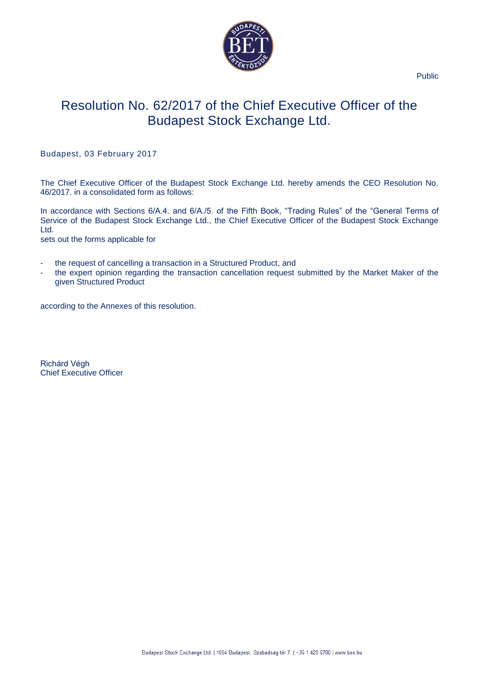

Public

# Resolution No. 62/2017 of the Chief Executive Officer of the Budapest Stock Exchange Ltd.

#### Budapest, 03 February 2017

The Chief Executive Officer of the Budapest Stock Exchange Ltd. hereby amends the CEO Resolution No. 46/2017. in a consolidated form as follows:

In accordance with Sections 6/A.4. and 6/A./5. of the Fifth Book, "Trading Rules" of the "General Terms of Service of the Budapest Stock Exchange Ltd., the Chief Executive Officer of the Budapest Stock Exchange Ltd.

sets out the forms applicable for

- the request of cancelling a transaction in a Structured Product, and
- the expert opinion regarding the transaction cancellation request submitted by the Market Maker of the given Structured Product

according to the Annexes of this resolution.

Richárd Végh Chief Executive Officer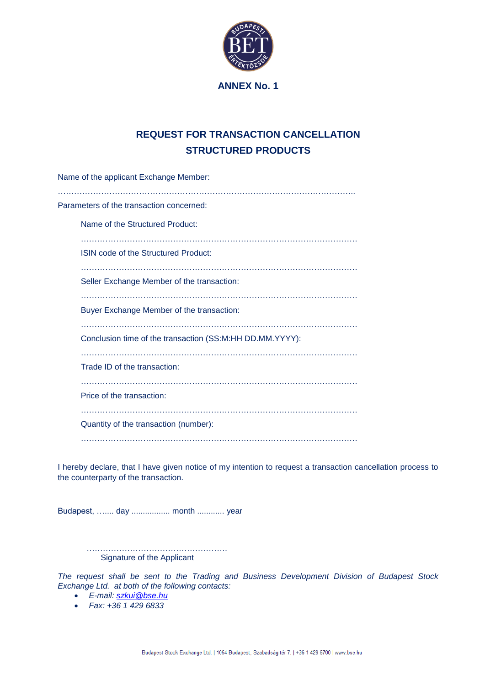

### **ANNEX No. 1**

## **REQUEST FOR TRANSACTION CANCELLATION STRUCTURED PRODUCTS**

| Name of the applicant Exchange Member:                   |
|----------------------------------------------------------|
| Parameters of the transaction concerned:                 |
| Name of the Structured Product:                          |
| ISIN code of the Structured Product:                     |
| Seller Exchange Member of the transaction:               |
| Buyer Exchange Member of the transaction:                |
| Conclusion time of the transaction (SS:M:HH DD.MM.YYYY): |
| Trade ID of the transaction:                             |
| Price of the transaction:                                |
| Quantity of the transaction (number):                    |
|                                                          |

I hereby declare, that I have given notice of my intention to request a transaction cancellation process to the counterparty of the transaction.

Budapest, ….... day ................. month ............ year

……………………………………………. Signature of the Applicant

*The request shall be sent to the Trading and Business Development Division of Budapest Stock Exchange Ltd. at both of the following contacts:*

- *E-mail: [szkui@bse.hu](mailto:szkui@bse.hu)*
- *Fax: +36 1 429 6833*